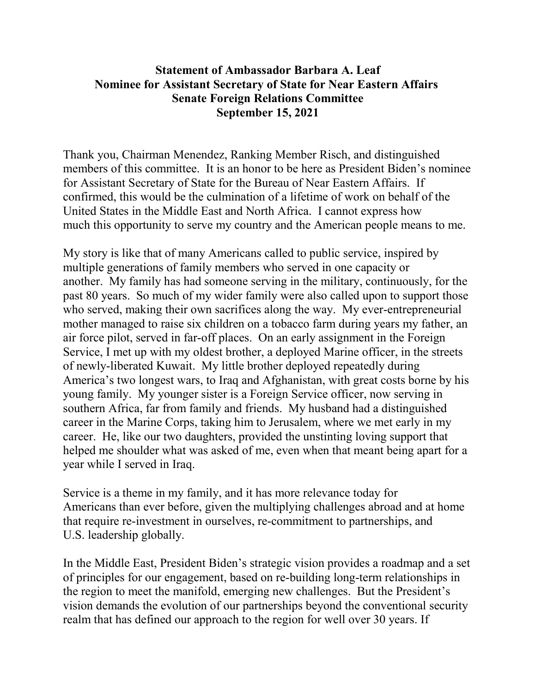## **Statement of Ambassador Barbara A. Leaf Nominee for Assistant Secretary of State for Near Eastern Affairs Senate Foreign Relations Committee September 15, 2021**

Thank you, Chairman Menendez, Ranking Member Risch, and distinguished members of this committee. It is an honor to be here as President Biden's nominee for Assistant Secretary of State for the Bureau of Near Eastern Affairs. If confirmed, this would be the culmination of a lifetime of work on behalf of the United States in the Middle East and North Africa. I cannot express how much this opportunity to serve my country and the American people means to me.

My story is like that of many Americans called to public service, inspired by multiple generations of family members who served in one capacity or another. My family has had someone serving in the military, continuously, for the past 80 years. So much of my wider family were also called upon to support those who served, making their own sacrifices along the way. My ever-entrepreneurial mother managed to raise six children on a tobacco farm during years my father, an air force pilot, served in far-off places. On an early assignment in the Foreign Service, I met up with my oldest brother, a deployed Marine officer, in the streets of newly-liberated Kuwait. My little brother deployed repeatedly during America's two longest wars, to Iraq and Afghanistan, with great costs borne by his young family. My younger sister is a Foreign Service officer, now serving in southern Africa, far from family and friends. My husband had a distinguished career in the Marine Corps, taking him to Jerusalem, where we met early in my career. He, like our two daughters, provided the unstinting loving support that helped me shoulder what was asked of me, even when that meant being apart for a year while I served in Iraq.

Service is a theme in my family, and it has more relevance today for Americans than ever before, given the multiplying challenges abroad and at home that require re-investment in ourselves, re-commitment to partnerships, and U.S. leadership globally.

In the Middle East, President Biden's strategic vision provides a roadmap and a set of principles for our engagement, based on re-building long-term relationships in the region to meet the manifold, emerging new challenges. But the President's vision demands the evolution of our partnerships beyond the conventional security realm that has defined our approach to the region for well over 30 years. If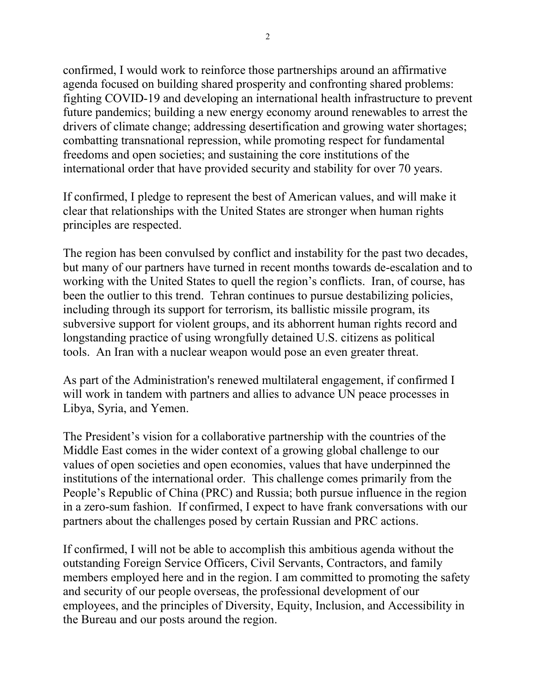confirmed, I would work to reinforce those partnerships around an affirmative agenda focused on building shared prosperity and confronting shared problems: fighting COVID-19 and developing an international health infrastructure to prevent future pandemics; building a new energy economy around renewables to arrest the drivers of climate change; addressing desertification and growing water shortages; combatting transnational repression, while promoting respect for fundamental freedoms and open societies; and sustaining the core institutions of the international order that have provided security and stability for over 70 years.

If confirmed, I pledge to represent the best of American values, and will make it clear that relationships with the United States are stronger when human rights principles are respected.

The region has been convulsed by conflict and instability for the past two decades, but many of our partners have turned in recent months towards de-escalation and to working with the United States to quell the region's conflicts. Iran, of course, has been the outlier to this trend. Tehran continues to pursue destabilizing policies, including through its support for terrorism, its ballistic missile program, its subversive support for violent groups, and its abhorrent human rights record and longstanding practice of using wrongfully detained U.S. citizens as political tools. An Iran with a nuclear weapon would pose an even greater threat.

As part of the Administration's renewed multilateral engagement, if confirmed I will work in tandem with partners and allies to advance UN peace processes in Libya, Syria, and Yemen.

The President's vision for a collaborative partnership with the countries of the Middle East comes in the wider context of a growing global challenge to our values of open societies and open economies, values that have underpinned the institutions of the international order. This challenge comes primarily from the People's Republic of China (PRC) and Russia; both pursue influence in the region in a zero-sum fashion. If confirmed, I expect to have frank conversations with our partners about the challenges posed by certain Russian and PRC actions.

If confirmed, I will not be able to accomplish this ambitious agenda without the outstanding Foreign Service Officers, Civil Servants, Contractors, and family members employed here and in the region. I am committed to promoting the safety and security of our people overseas, the professional development of our employees, and the principles of Diversity, Equity, Inclusion, and Accessibility in the Bureau and our posts around the region.